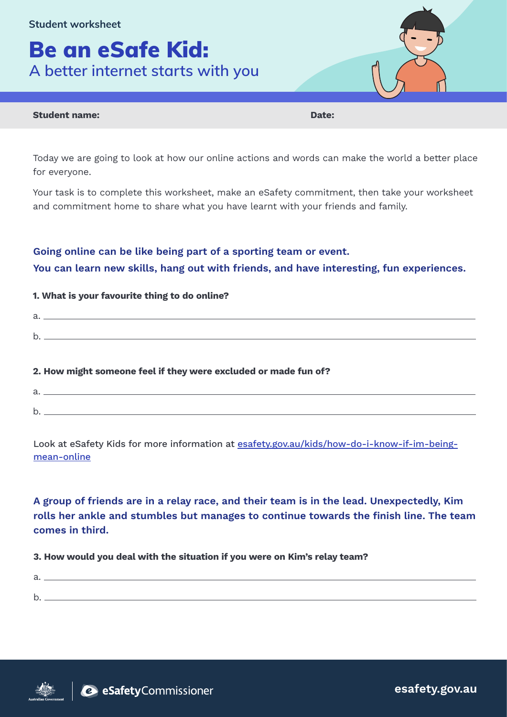**Student worksheet**

# Be an eSafe Kid: **A better internet starts with you**

## Student name: Date:

Today we are going to look at how our online actions and words can make the world a better place for everyone.

Your task is to complete this worksheet, make an eSafety commitment, then take your worksheet and commitment home to share what you have learnt with your friends and family.

# Going online can be like being part of a sporting team or event.

You can learn new skills, hang out with friends, and have interesting, fun experiences.

## 1. What is your favourite thing to do online?

a. b.

## 2. How might someone feel if they were excluded or made fun of?

a. b.

Look at eSafety Kids for more information at [esafety.gov.au/kids/how-do-i-know-if-im-being](https://www.esafety.gov.au/kids/I-want-help-with/how-do-i-know-if-im-being-mean-online)[mean-online](https://www.esafety.gov.au/kids/I-want-help-with/how-do-i-know-if-im-being-mean-online)

A group of friends are in a relay race, and their team is in the lead. Unexpectedly, Kim rolls her ankle and stumbles but manages to continue towards the finish line. The team comes in third.

3. How would you deal with the situation if you were on Kim's relay team?



esafety.gov.au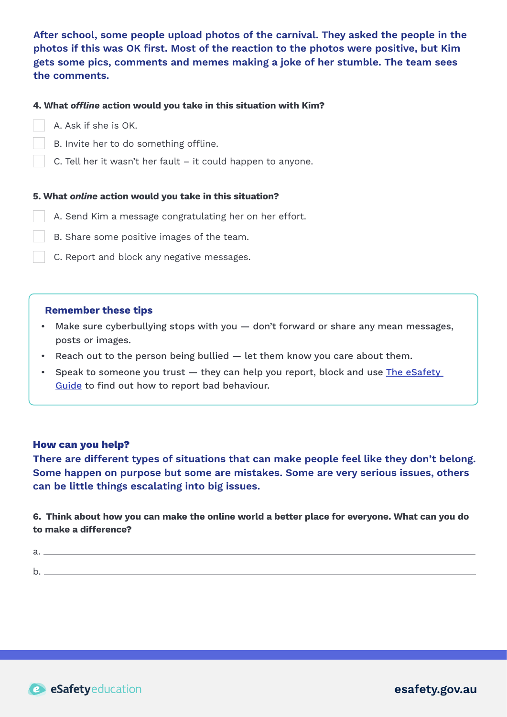After school, some people upload photos of the carnival. They asked the people in the photos if this was OK first. Most of the reaction to the photos were positive, but Kim gets some pics, comments and memes making a joke of her stumble. The team sees the comments.

## 4. What *offline* action would you take in this situation with Kim?

- A. Ask if she is OK.
- B. Invite her to do something offline.
- C. Tell her it wasn't her fault it could happen to anyone.

#### 5. What *online* action would you take in this situation?

- A. Send Kim a message congratulating her on her effort.
- B. Share some positive images of the team.
	- C. Report and block any negative messages.

### Remember these tips

- Make sure cyberbullying stops with you don't forward or share any mean messages, posts or images.
- Reach out to the person being bullied let them know you care about them.
- Speak to someone you trust they can help you report, block and use [The eSafety](https://www.esafety.gov.au/key-issues/esafety-guide) [Guide](https://www.esafety.gov.au/key-issues/esafety-guide) to find out how to report bad behaviour.

#### How can you help?

There are different types of situations that can make people feel like they don't belong. Some happen on purpose but some are mistakes. Some are very serious issues, others can be little things escalating into big issues.

6. Think about how you can make the online world a better place for everyone. What can you do to make a difference?

| ∽<br>ີ |  |
|--------|--|
|        |  |
| $\sim$ |  |
|        |  |